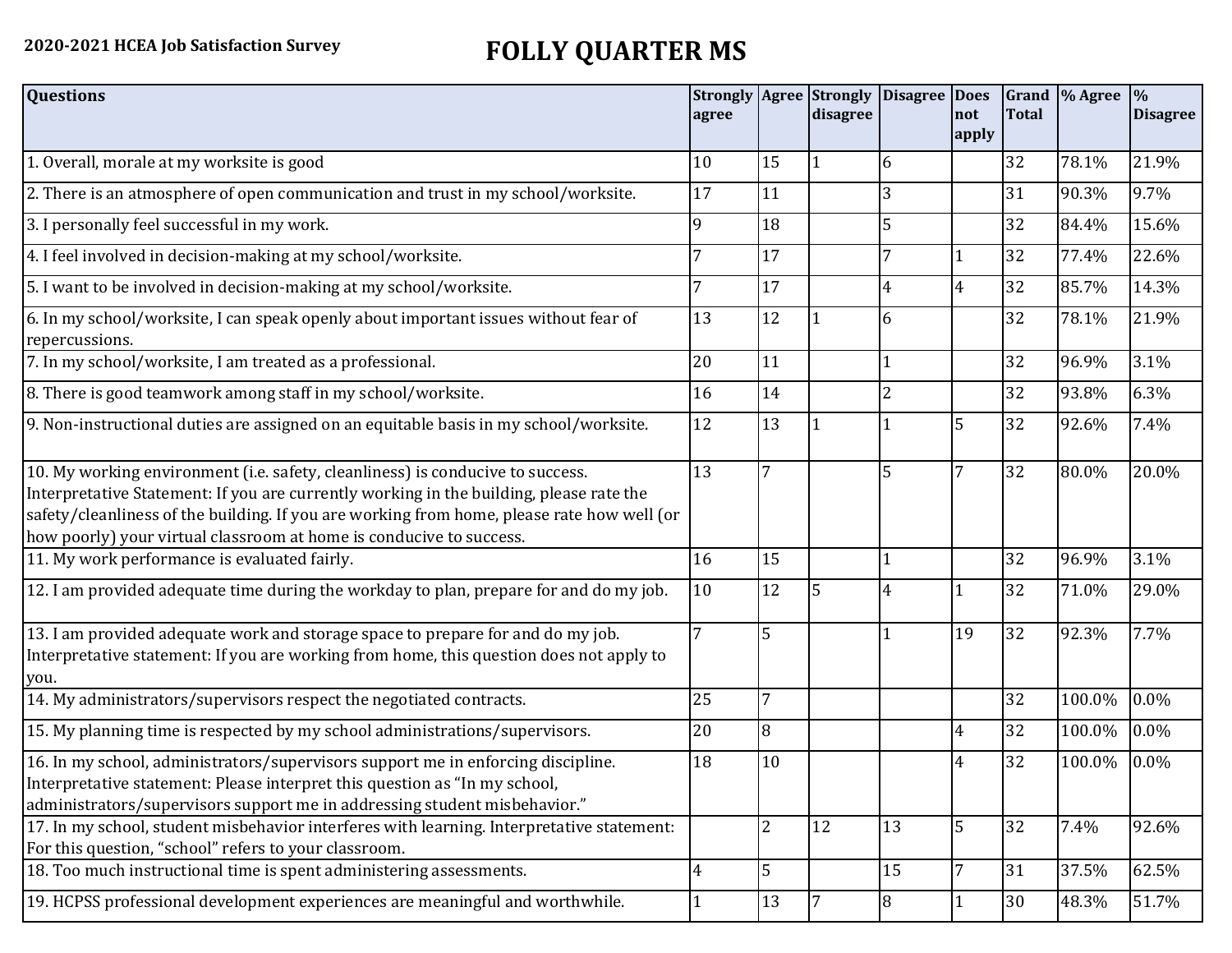## **2020-2021 HCEA Job Satisfaction Survey FOLLY QUARTER MS**

| <b>Questions</b>                                                                                                                                                                                                                                                                                                                               | agree          |                | <b>Strongly Agree Strongly</b><br>disagree | Disagree Does  | not<br>apply   | <b>Total</b> | Grand  % Agree | $\frac{0}{0}$<br><b>Disagree</b> |
|------------------------------------------------------------------------------------------------------------------------------------------------------------------------------------------------------------------------------------------------------------------------------------------------------------------------------------------------|----------------|----------------|--------------------------------------------|----------------|----------------|--------------|----------------|----------------------------------|
| 1. Overall, morale at my worksite is good                                                                                                                                                                                                                                                                                                      | 10             | 15             | $\mathbf{1}$                               | 6              |                | 32           | 78.1%          | 21.9%                            |
| 2. There is an atmosphere of open communication and trust in my school/worksite.                                                                                                                                                                                                                                                               | 17             | 11             |                                            | 3              |                | 31           | 90.3%          | 9.7%                             |
| 3. I personally feel successful in my work.                                                                                                                                                                                                                                                                                                    | q              | 18             |                                            | 5              |                | 32           | 84.4%          | 15.6%                            |
| 4. I feel involved in decision-making at my school/worksite.                                                                                                                                                                                                                                                                                   |                | 17             |                                            | 7              |                | 32           | 77.4%          | 22.6%                            |
| 5. I want to be involved in decision-making at my school/worksite.                                                                                                                                                                                                                                                                             |                | 17             |                                            | 4              | $\overline{4}$ | 32           | 85.7%          | 14.3%                            |
| 6. In my school/worksite, I can speak openly about important issues without fear of<br>repercussions.                                                                                                                                                                                                                                          | 13             | 12             |                                            | 6              |                | 32           | 78.1%          | 21.9%                            |
| 7. In my school/worksite, I am treated as a professional.                                                                                                                                                                                                                                                                                      | 20             | 11             |                                            |                |                | 32           | 96.9%          | 3.1%                             |
| 8. There is good teamwork among staff in my school/worksite.                                                                                                                                                                                                                                                                                   | 16             | 14             |                                            | 2              |                | 32           | 93.8%          | 6.3%                             |
| 9. Non-instructional duties are assigned on an equitable basis in my school/worksite.                                                                                                                                                                                                                                                          | 12             | 13             |                                            |                | 5              | 32           | 92.6%          | 7.4%                             |
| 10. My working environment (i.e. safety, cleanliness) is conducive to success.<br>Interpretative Statement: If you are currently working in the building, please rate the<br>safety/cleanliness of the building. If you are working from home, please rate how well (or<br>how poorly) your virtual classroom at home is conducive to success. | 13             | 7              |                                            | 5              | 7              | 32           | 80.0%          | 20.0%                            |
| 11. My work performance is evaluated fairly.                                                                                                                                                                                                                                                                                                   | 16             | 15             |                                            |                |                | 32           | 96.9%          | 3.1%                             |
| 12. I am provided adequate time during the workday to plan, prepare for and do my job.                                                                                                                                                                                                                                                         | 10             | 12             | 5                                          | 4              | 1              | 32           | 71.0%          | 29.0%                            |
| 13. I am provided adequate work and storage space to prepare for and do my job.<br>Interpretative statement: If you are working from home, this question does not apply to<br>you.                                                                                                                                                             |                | 5              |                                            |                | 19             | 32           | 92.3%          | 7.7%                             |
| 14. My administrators/supervisors respect the negotiated contracts.                                                                                                                                                                                                                                                                            | 25             | $\overline{7}$ |                                            |                |                | 32           | 100.0%         | 0.0%                             |
| 15. My planning time is respected by my school administrations/supervisors.                                                                                                                                                                                                                                                                    | 20             | $\overline{8}$ |                                            |                | 4              | 32           | 100.0%         | 0.0%                             |
| 16. In my school, administrators/supervisors support me in enforcing discipline.<br>Interpretative statement: Please interpret this question as "In my school,<br>administrators/supervisors support me in addressing student misbehavior."                                                                                                    | 18             | 10             |                                            |                | 4              | 32           | 100.0%         | $0.0\%$                          |
| 17. In my school, student misbehavior interferes with learning. Interpretative statement:<br>For this question, "school" refers to your classroom.                                                                                                                                                                                             |                | 2              | 12                                         | 13             | $\overline{5}$ | 32           | 7.4%           | 92.6%                            |
| 18. Too much instructional time is spent administering assessments.                                                                                                                                                                                                                                                                            | $\overline{4}$ | 5              |                                            | 15             | 7              | 31           | 37.5%          | 62.5%                            |
| 19. HCPSS professional development experiences are meaningful and worthwhile.                                                                                                                                                                                                                                                                  |                | 13             | 7                                          | $\overline{8}$ |                | 30           | 48.3%          | 51.7%                            |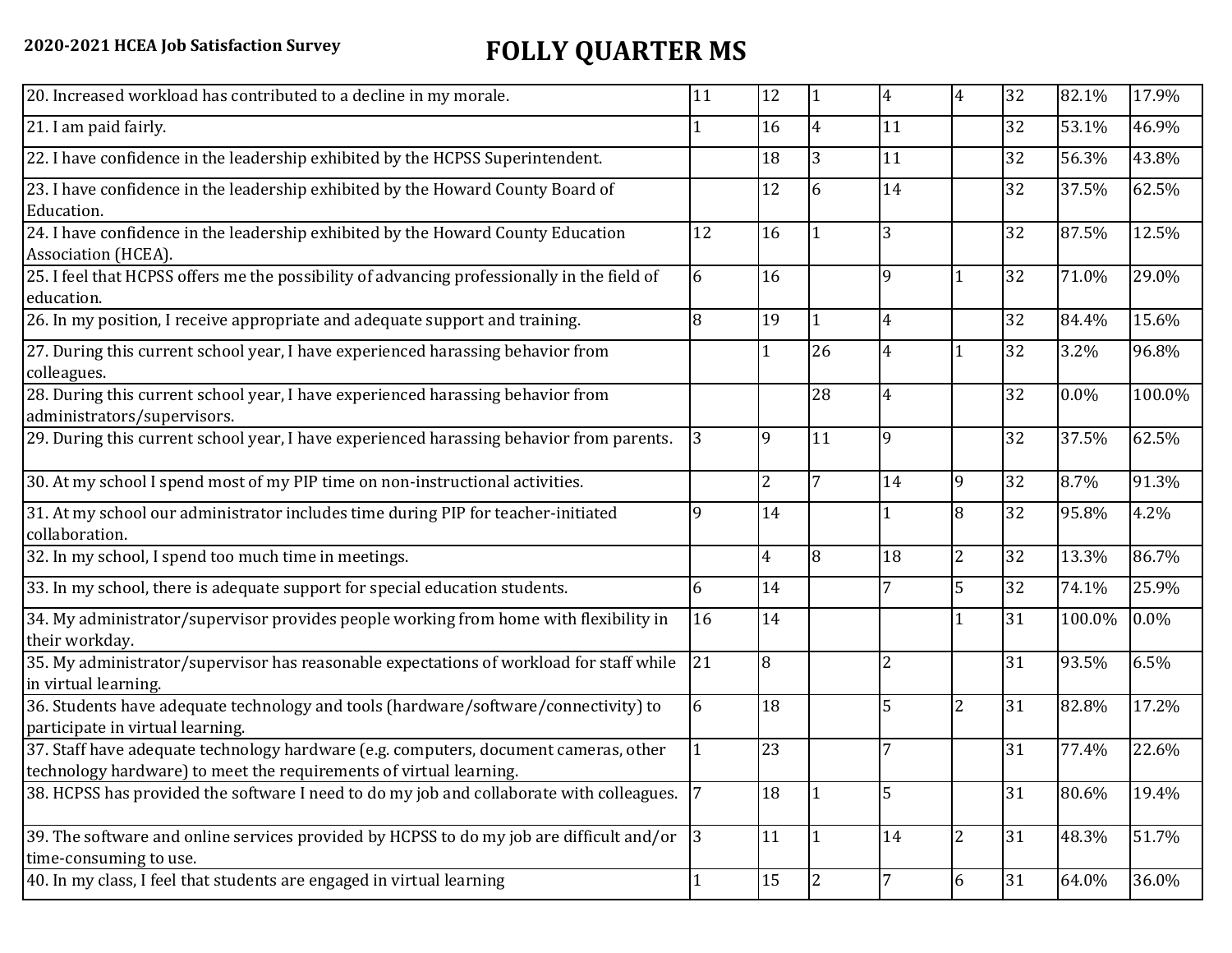## **2020-2021 HCEA Job Satisfaction Survey FOLLY QUARTER MS**

| 20. Increased workload has contributed to a decline in my morale.                                                                                          | 11          | 12             | $\vert$ 1       | 4  | $\overline{4}$ | 32 | 82.1%  | 17.9%   |
|------------------------------------------------------------------------------------------------------------------------------------------------------------|-------------|----------------|-----------------|----|----------------|----|--------|---------|
| 21. I am paid fairly.                                                                                                                                      |             | 16             | $\overline{4}$  | 11 |                | 32 | 53.1%  | 46.9%   |
| 22. I have confidence in the leadership exhibited by the HCPSS Superintendent.                                                                             |             | 18             | $\overline{3}$  | 11 |                | 32 | 56.3%  | 43.8%   |
| 23. I have confidence in the leadership exhibited by the Howard County Board of<br>Education.                                                              |             | 12             | 6               | 14 |                | 32 | 37.5%  | 62.5%   |
| 24. I have confidence in the leadership exhibited by the Howard County Education<br>Association (HCEA).                                                    | 12          | 16             |                 | 3  |                | 32 | 87.5%  | 12.5%   |
| 25. I feel that HCPSS offers me the possibility of advancing professionally in the field of<br>education.                                                  | 6           | 16             |                 | 9  | 1              | 32 | 71.0%  | 29.0%   |
| 26. In my position, I receive appropriate and adequate support and training.                                                                               | 8           | 19             | 11              | 4  |                | 32 | 84.4%  | 15.6%   |
| 27. During this current school year, I have experienced harassing behavior from<br>colleagues.                                                             |             |                | 26              | 4  |                | 32 | 3.2%   | 96.8%   |
| 28. During this current school year, I have experienced harassing behavior from<br>administrators/supervisors.                                             |             |                | 28              | 4  |                | 32 | 0.0%   | 100.0%  |
| 29. During this current school year, I have experienced harassing behavior from parents.                                                                   | 3           | 9              | 11              | 9  |                | 32 | 37.5%  | 62.5%   |
| 30. At my school I spend most of my PIP time on non-instructional activities.                                                                              |             | $\overline{2}$ | $7\overline{ }$ | 14 | 9              | 32 | 8.7%   | 91.3%   |
| 31. At my school our administrator includes time during PIP for teacher-initiated<br>collaboration.                                                        | 9           | 14             |                 |    | 8              | 32 | 95.8%  | 4.2%    |
| 32. In my school, I spend too much time in meetings.                                                                                                       |             | 4              | l8              | 18 | $\overline{c}$ | 32 | 13.3%  | 86.7%   |
| 33. In my school, there is adequate support for special education students.                                                                                | 6           | 14             |                 | 7  | 5              | 32 | 74.1%  | 25.9%   |
| 34. My administrator/supervisor provides people working from home with flexibility in<br>their workday.                                                    | 16          | 14             |                 |    | $\mathbf{1}$   | 31 | 100.0% | $0.0\%$ |
| 35. My administrator/supervisor has reasonable expectations of workload for staff while<br>in virtual learning.                                            | 21          | 8              |                 | 2  |                | 31 | 93.5%  | 6.5%    |
| 36. Students have adequate technology and tools (hardware/software/connectivity) to<br>participate in virtual learning.                                    | 6           | 18             |                 | 5  | $\overline{c}$ | 31 | 82.8%  | 17.2%   |
| 37. Staff have adequate technology hardware (e.g. computers, document cameras, other<br>technology hardware) to meet the requirements of virtual learning. |             | 23             |                 |    |                | 31 | 77.4%  | 22.6%   |
| 38. HCPSS has provided the software I need to do my job and collaborate with colleagues.                                                                   | 7           | 18             | 11              | 5  |                | 31 | 80.6%  | 19.4%   |
| 39. The software and online services provided by HCPSS to do my job are difficult and/or<br>time-consuming to use.                                         | $ 3\rangle$ | 11             | 1               | 14 | 2              | 31 | 48.3%  | 51.7%   |
| 40. In my class, I feel that students are engaged in virtual learning                                                                                      |             | 15             | 2               |    | 6              | 31 | 64.0%  | 36.0%   |
|                                                                                                                                                            |             |                |                 |    |                |    |        |         |